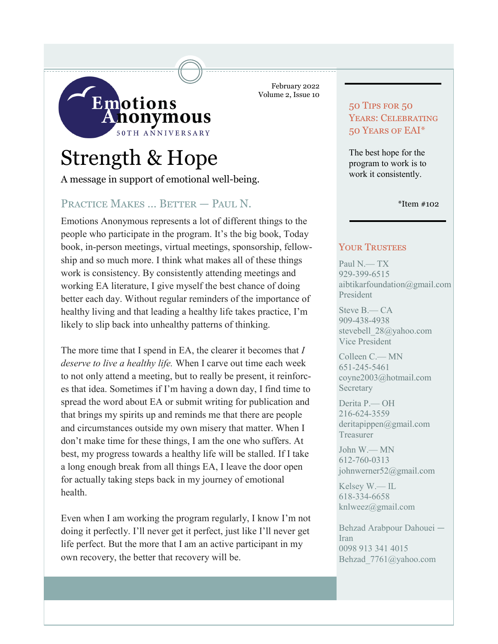

February 2022 Volume 2, Issue 10

# Strength & Hope

A message in support of emotional well-being.

# PRACTICE MAKES ... BETTER - PAUL N.

Emotions Anonymous represents a lot of different things to the people who participate in the program. It's the big book, Today book, in-person meetings, virtual meetings, sponsorship, fellowship and so much more. I think what makes all of these things work is consistency. By consistently attending meetings and working EA literature, I give myself the best chance of doing better each day. Without regular reminders of the importance of healthy living and that leading a healthy life takes practice, I'm likely to slip back into unhealthy patterns of thinking.

The more time that I spend in EA, the clearer it becomes that *I deserve to live a healthy life.* When I carve out time each week to not only attend a meeting, but to really be present, it reinforces that idea. Sometimes if I'm having a down day, I find time to spread the word about EA or submit writing for publication and that brings my spirits up and reminds me that there are people and circumstances outside my own misery that matter. When I don't make time for these things, I am the one who suffers. At best, my progress towards a healthy life will be stalled. If I take a long enough break from all things EA, I leave the door open for actually taking steps back in my journey of emotional health.

Even when I am working the program regularly, I know I'm not doing it perfectly. I'll never get it perfect, just like I'll never get life perfect. But the more that I am an active participant in my own recovery, the better that recovery will be.

# 50 Tips for 50 YEARS: CELEBRATING 50 Years of EAI\*

The best hope for the program to work is to work it consistently.

\*Item #102

#### YOUR TRUSTEES

Paul N.— TX 929-399-6515 aibtikarfoundation@gmail.com President

Steve B.— CA 909-438-4938 stevebell\_28@yahoo.com Vice President

Colleen C.— MN 651-245-5461 coyne2003@hotmail.com Secretary

Derita P.— OH 216-624-3559 deritapippen@gmail.com Treasurer

John W.— MN 612-760-0313 johnwerner52@gmail.com

Kelsey W.— IL 618-334-6658 knlweez@gmail.com

Behzad Arabpour Dahouei — Iran 0098 913 341 4015 Behzad\_7761@yahoo.com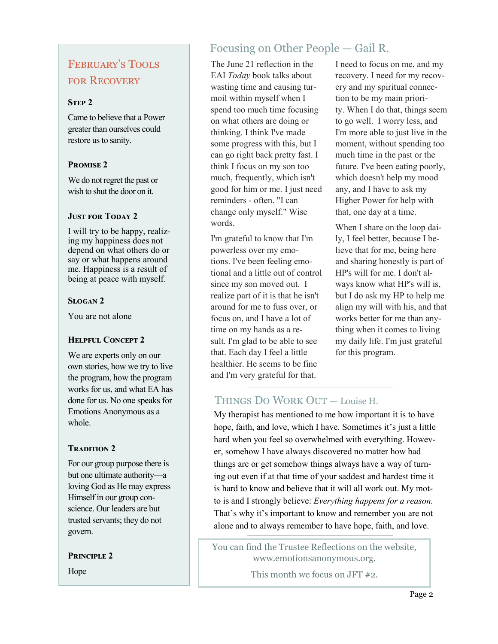# February's Tools for Recovery

### **STEP 2**

Came to believe that a Power greater than ourselves could restore us to sanity.

#### **Promise 2**

We do not regret the past or wish to shut the door on it.

#### **JUST FOR TODAY 2**

I will try to be happy, realizing my happiness does not depend on what others do or say or what happens around me. Happiness is a result of being at peace with myself.

# **Slogan 2**

You are not alone

# **Helpful Concept 2**

We are experts only on our own stories, how we try to live the program, how the program works for us, and what EA has done for us. No one speaks for Emotions Anonymous as a whole.

# **TRADITION 2**

For our group purpose there is but one ultimate authority—a loving God as He may express Himself in our group conscience. Our leaders are but trusted servants; they do not govern.

**Principle 2**

Hope

# Focusing on Other People — Gail R.

The June 21 reflection in the EAI *Today* book talks about wasting time and causing turmoil within myself when I spend too much time focusing on what others are doing or thinking. I think I've made some progress with this, but I can go right back pretty fast. I think I focus on my son too much, frequently, which isn't good for him or me. I just need reminders - often. "I can change only myself." Wise words.

I'm grateful to know that I'm powerless over my emotions. I've been feeling emotional and a little out of control since my son moved out. I realize part of it is that he isn't around for me to fuss over, or focus on, and I have a lot of time on my hands as a result. I'm glad to be able to see that. Each day I feel a little healthier. He seems to be fine and I'm very grateful for that.

I need to focus on me, and my recovery. I need for my recovery and my spiritual connection to be my main priority. When I do that, things seem to go well. I worry less, and I'm more able to just live in the moment, without spending too much time in the past or the future. I've been eating poorly, which doesn't help my mood any, and I have to ask my Higher Power for help with that, one day at a time.

When I share on the loop daily, I feel better, because I believe that for me, being here and sharing honestly is part of HP's will for me. I don't always know what HP's will is, but I do ask my HP to help me align my will with his, and that works better for me than anything when it comes to living my daily life. I'm just grateful for this program.

# Things Do Work Out — Louise H.

My therapist has mentioned to me how important it is to have hope, faith, and love, which I have. Sometimes it's just a little hard when you feel so overwhelmed with everything. However, somehow I have always discovered no matter how bad things are or get somehow things always have a way of turning out even if at that time of your saddest and hardest time it is hard to know and believe that it will all work out. My motto is and I strongly believe: *Everything happens for a reason.*  That's why it's important to know and remember you are not alone and to always remember to have hope, faith, and love.

You can find the Trustee Reflections on the website, www.emotionsanonymous.org. This month we focus on JFT #2.